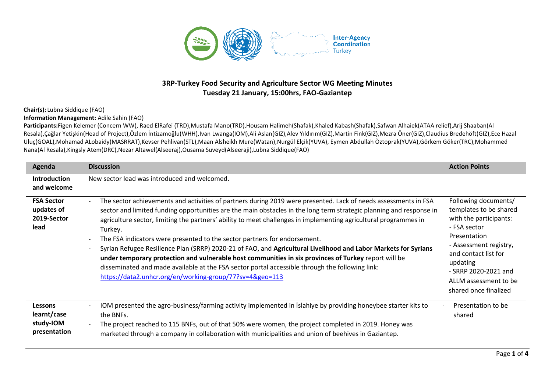

## **3RP-Turkey Food Security and Agriculture Sector WG Meeting Minutes Tuesday 21 January, 15:00hrs, FAO-Gaziantep**

## **Chair(s):** Lubna Siddique (FAO)

**Information Management:** Adile Sahin (FAO)

Participants:Figen Kelemer (Concern WW), Raed ElRafei (TRD),Mustafa Mano(TRD),Housam Halimeh(Shafak),Khaled Kabash(Shafak),Safwan Alhaiek(ATAA relief),Arij Shaaban(Al Resala),Çağlar Yetişkin(Head of Project),Özlem İntizamoğlu(WHH),Ivan Lwanga(IOM),Ali Aslan(GIZ),Alev Yıldırım(GIZ),Martin Fink(GIZ),Mezra Öner(GIZ),Claudius Bredehöft(GIZ),Ece Hazal Uluç(GOAL),Mohamad ALobaidy(MASRRAT),Kevser Pehlivan(STL),Maan Alsheikh Mure(Watan),Nurgül Elçik(YUVA), Eymen Abdullah Öztoprak(YUVA),Görkem Göker(TRC),Mohammed Nana(Al Resala),Kingsly Atem(DRC),Nezar Altawel(Alseeraj),Ousama Suveyd(Alseeraji),Lubna Siddique(FAO)

| Agenda                                                     | <b>Discussion</b>                                                                                                                                                                                                                                                                                                                                                                                                                                                                                                                                                                                                                                                                                                                                                                                                                                                                                                                | <b>Action Points</b>                                                                                                                                                                                                                             |
|------------------------------------------------------------|----------------------------------------------------------------------------------------------------------------------------------------------------------------------------------------------------------------------------------------------------------------------------------------------------------------------------------------------------------------------------------------------------------------------------------------------------------------------------------------------------------------------------------------------------------------------------------------------------------------------------------------------------------------------------------------------------------------------------------------------------------------------------------------------------------------------------------------------------------------------------------------------------------------------------------|--------------------------------------------------------------------------------------------------------------------------------------------------------------------------------------------------------------------------------------------------|
| <b>Introduction</b><br>and welcome                         | New sector lead was introduced and welcomed.                                                                                                                                                                                                                                                                                                                                                                                                                                                                                                                                                                                                                                                                                                                                                                                                                                                                                     |                                                                                                                                                                                                                                                  |
| <b>FSA Sector</b><br>updates of<br>2019-Sector<br>lead     | The sector achievements and activities of partners during 2019 were presented. Lack of needs assessments in FSA<br>$\overline{\phantom{a}}$<br>sector and limited funding opportunities are the main obstacles in the long term strategic planning and response in<br>agriculture sector, limiting the partners' ability to meet challenges in implementing agricultural programmes in<br>Turkey.<br>The FSA indicators were presented to the sector partners for endorsement.<br>$\overline{\phantom{a}}$<br>Syrian Refugee Resilience Plan (SRRP) 2020-21 of FAO, and Agricultural Livelihood and Labor Markets for Syrians<br>$\overline{\phantom{a}}$<br>under temporary protection and vulnerable host communities in six provinces of Turkey report will be<br>disseminated and made available at the FSA sector portal accessible through the following link:<br>https://data2.unhcr.org/en/working-group/77?sv=4&geo=113 | Following documents/<br>templates to be shared<br>with the participants:<br>- FSA sector<br>Presentation<br>- Assessment registry,<br>and contact list for<br>updating<br>- SRRP 2020-2021 and<br>ALLM assessment to be<br>shared once finalized |
| <b>Lessons</b><br>learnt/case<br>study-IOM<br>presentation | IOM presented the agro-business/farming activity implemented in Islahiye by providing honeybee starter kits to<br>$\overline{\phantom{a}}$<br>the BNFs.<br>The project reached to 115 BNFs, out of that 50% were women, the project completed in 2019. Honey was<br>$\overline{\phantom{a}}$<br>marketed through a company in collaboration with municipalities and union of beehives in Gaziantep.                                                                                                                                                                                                                                                                                                                                                                                                                                                                                                                              | Presentation to be<br>shared                                                                                                                                                                                                                     |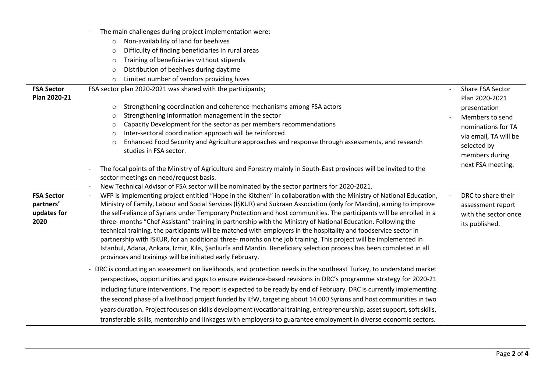|                   | The main challenges during project implementation were:                                                                                        |                                                |  |  |  |  |
|-------------------|------------------------------------------------------------------------------------------------------------------------------------------------|------------------------------------------------|--|--|--|--|
|                   | Non-availability of land for beehives<br>$\circ$                                                                                               |                                                |  |  |  |  |
|                   | Difficulty of finding beneficiaries in rural areas<br>$\circ$                                                                                  |                                                |  |  |  |  |
|                   | Training of beneficiaries without stipends<br>$\circ$                                                                                          |                                                |  |  |  |  |
|                   | Distribution of beehives during daytime<br>$\circ$                                                                                             |                                                |  |  |  |  |
|                   | Limited number of vendors providing hives<br>$\circ$                                                                                           |                                                |  |  |  |  |
| <b>FSA Sector</b> | FSA sector plan 2020-2021 was shared with the participants;                                                                                    | Share FSA Sector                               |  |  |  |  |
| Plan 2020-21      |                                                                                                                                                | Plan 2020-2021                                 |  |  |  |  |
|                   | Strengthening coordination and coherence mechanisms among FSA actors<br>$\circ$                                                                | presentation                                   |  |  |  |  |
|                   | Strengthening information management in the sector<br>$\circ$                                                                                  | Members to send                                |  |  |  |  |
|                   | Capacity Development for the sector as per members recommendations<br>$\circ$                                                                  | nominations for TA                             |  |  |  |  |
|                   | Inter-sectoral coordination approach will be reinforced<br>$\circ$                                                                             | via email, TA will be                          |  |  |  |  |
|                   | Enhanced Food Security and Agriculture approaches and response through assessments, and research<br>$\circ$                                    | selected by                                    |  |  |  |  |
|                   | studies in FSA sector.                                                                                                                         | members during                                 |  |  |  |  |
|                   | The focal points of the Ministry of Agriculture and Forestry mainly in South-East provinces will be invited to the<br>$\overline{\phantom{a}}$ | next FSA meeting.                              |  |  |  |  |
|                   | sector meetings on need/request basis.                                                                                                         |                                                |  |  |  |  |
|                   | New Technical Advisor of FSA sector will be nominated by the sector partners for 2020-2021.                                                    |                                                |  |  |  |  |
| <b>FSA Sector</b> | WFP is implementing project entitled "Hope in the Kitchen" in collaboration with the Ministry of National Education,                           | DRC to share their<br>$\overline{\phantom{a}}$ |  |  |  |  |
| partners'         | Ministry of Family, Labour and Social Services (İŞKUR) and Sukraan Association (only for Mardin), aiming to improve                            | assessment report                              |  |  |  |  |
| updates for       | the self-reliance of Syrians under Temporary Protection and host communities. The participants will be enrolled in a                           | with the sector once                           |  |  |  |  |
| 2020              | three- months "Chef Assistant" training in partnership with the Ministry of National Education. Following the                                  | its published.                                 |  |  |  |  |
|                   | technical training, the participants will be matched with employers in the hospitality and foodservice sector in                               |                                                |  |  |  |  |
|                   | partnership with ISKUR, for an additional three- months on the job training. This project will be implemented in                               |                                                |  |  |  |  |
|                   | Istanbul, Adana, Ankara, Izmir, Kilis, Şanlıurfa and Mardin. Beneficiary selection process has been completed in all                           |                                                |  |  |  |  |
|                   | provinces and trainings will be initiated early February.                                                                                      |                                                |  |  |  |  |
|                   | - DRC is conducting an assessment on livelihoods, and protection needs in the southeast Turkey, to understand market                           |                                                |  |  |  |  |
|                   | perspectives, opportunities and gaps to ensure evidence-based revisions in DRC's programme strategy for 2020-21                                |                                                |  |  |  |  |
|                   | including future interventions. The report is expected to be ready by end of February. DRC is currently implementing                           |                                                |  |  |  |  |
|                   | the second phase of a livelihood project funded by KfW, targeting about 14.000 Syrians and host communities in two                             |                                                |  |  |  |  |
|                   | years duration. Project focuses on skills development (vocational training, entrepreneurship, asset support, soft skills,                      |                                                |  |  |  |  |
|                   | transferable skills, mentorship and linkages with employers) to guarantee employment in diverse economic sectors.                              |                                                |  |  |  |  |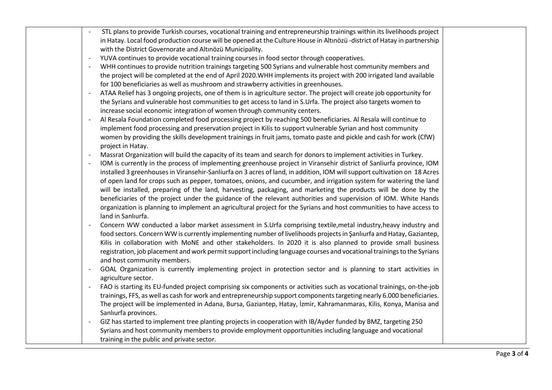|  | STL plans to provide Turkish courses, vocational training and entrepreneurship trainings within its livelihoods project   |  |
|--|---------------------------------------------------------------------------------------------------------------------------|--|
|  | in Hatay. Local food production course will be opened at the Culture House in Altınözü -district of Hatay in partnership  |  |
|  | with the District Governorate and Altınözü Municipality.                                                                  |  |
|  | YUVA continues to provide vocational training courses in food sector through cooperatives.                                |  |
|  | WHH continues to provide nutrition trainings targeting 500 Syrians and vulnerable host community members and              |  |
|  | the project will be completed at the end of April 2020. WHH implements its project with 200 irrigated land available      |  |
|  | for 100 beneficiaries as well as mushroom and strawberry activities in greenhouses.                                       |  |
|  | ATAA Relief has 3 ongoing projects, one of them is in agriculture sector. The project will create job opportunity for     |  |
|  | the Syrians and vulnerable host communities to get access to land in S.Urfa. The project also targets women to            |  |
|  | increase social economic integration of women through community centers.                                                  |  |
|  | Al Resala Foundation completed food processing project by reaching 500 beneficiaries. Al Resala will continue to          |  |
|  | implement food processing and preservation project in Kilis to support vulnerable Syrian and host community               |  |
|  | women by providing the skills development trainings in fruit jams, tomato paste and pickle and cash for work (CfW)        |  |
|  | project in Hatay.                                                                                                         |  |
|  | Massrat Organization will build the capacity of its team and search for donors to implement activities in Turkey.         |  |
|  | IOM is currently in the process of implementing greenhouse project in Viransehir district of Sanliurfa province, IOM      |  |
|  | installed 3 greenhouses in Viransehir-Sanliurfa on 3 acres of land, in addition, IOM will support cultivation on 18 Acres |  |
|  | of open land for crops such as pepper, tomatoes, onions, and cucumber, and irrigation system for watering the land        |  |
|  | will be installed, preparing of the land, harvesting, packaging, and marketing the products will be done by the           |  |
|  | beneficiaries of the project under the guidance of the relevant authorities and supervision of IOM. White Hands           |  |
|  | organization is planning to implement an agricultural project for the Syrians and host communities to have access to      |  |
|  | land in Sanlıurfa.                                                                                                        |  |
|  | Concern WW conducted a labor market assessment in S.Urfa comprising textile, metal industry, heavy industry and           |  |
|  | food sectors. Concern WW is currently implementing number of livelihoods projects in Şanlıurfa and Hatay, Gaziantep,      |  |
|  | Kilis in collaboration with MoNE and other stakeholders. In 2020 it is also planned to provide small business             |  |
|  | registration, job placement and work permit support including language courses and vocational trainings to the Syrians    |  |
|  | and host community members.                                                                                               |  |
|  | GOAL Organization is currently implementing project in protection sector and is planning to start activities in           |  |
|  | agriculture sector.                                                                                                       |  |
|  | FAO is starting its EU-funded project comprising six components or activities such as vocational trainings, on-the-job    |  |
|  | trainings, FFS, as well as cash for work and entrepreneurship support components targeting nearly 6.000 beneficiaries.    |  |
|  | The project will be implemented in Adana, Bursa, Gaziantep, Hatay, İzmir, Kahramanmaras, Kilis, Konya, Manisa and         |  |
|  | Sanlıurfa provinces.                                                                                                      |  |
|  | GIZ has started to implement tree planting projects in cooperation with IB/Ayder funded by BMZ, targeting 250             |  |
|  | Syrians and host community members to provide employment opportunities including language and vocational                  |  |
|  | training in the public and private sector.                                                                                |  |
|  |                                                                                                                           |  |